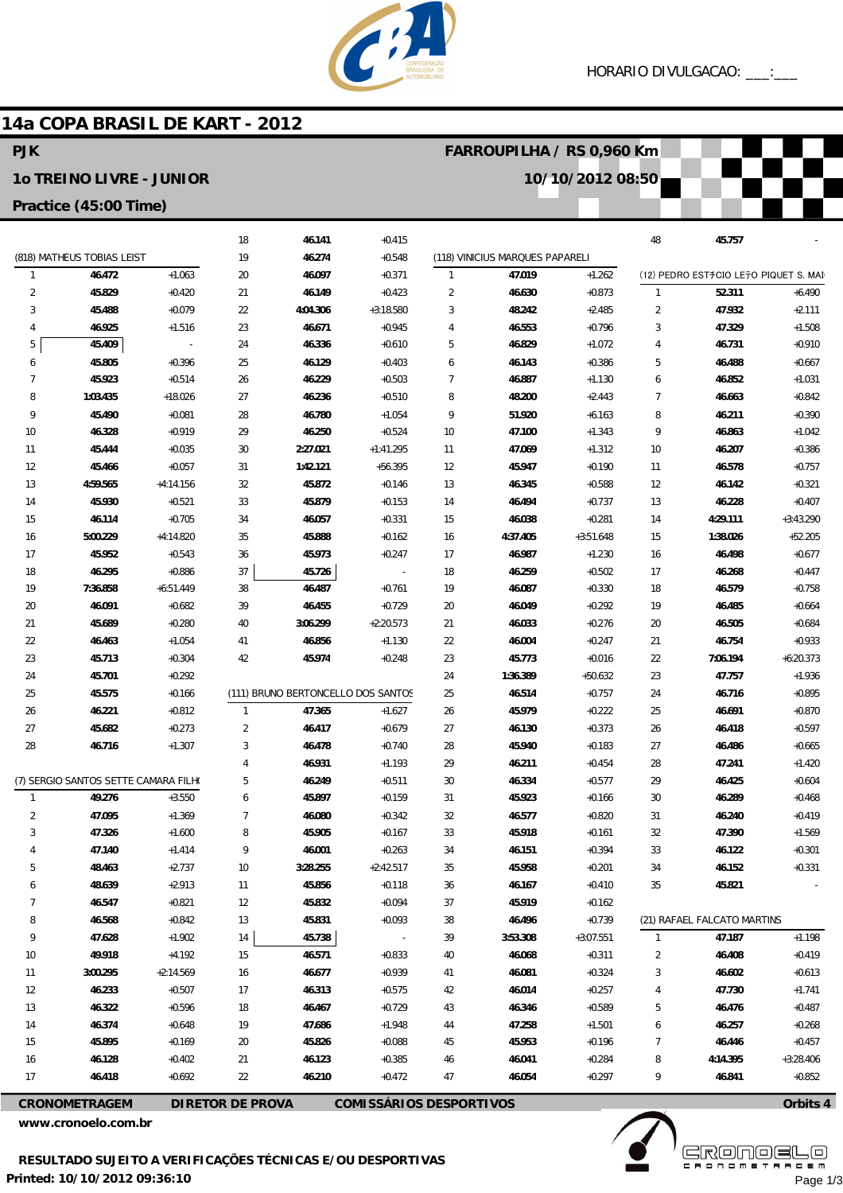**FARROUPILHA / RS 0,960 Km**

**10/10/2012 08:50**



# **14a COPA BRASIL DE KART - 2012**

### **PJK**

#### **1o TREINO LIVRE - JUNIOR**

#### **Practice (45:00 Time)**

|                                      |                            |                | 18                                 | 46.141   | $+0.415$                 |                |                                 |             | 48             | 45.757                                |             |
|--------------------------------------|----------------------------|----------------|------------------------------------|----------|--------------------------|----------------|---------------------------------|-------------|----------------|---------------------------------------|-------------|
|                                      | (818) MATHEUS TOBIAS LEIST |                | 19                                 | 46.274   | $+0.548$                 |                | (118) VINICIUS MARQUES PAPARELI |             |                |                                       |             |
| $\mathbf{1}$                         | 46.472                     | $+1.063$       | 20                                 | 46.097   | $+0.371$                 | $\mathbf{1}$   | 47.019                          | $+1.262$    |                | (12) PEDRO EST#CIO LE7O PIQUET S. MAI |             |
| $\overline{2}$                       | 45.829                     | $+0.420$       | 21                                 | 46.149   | $+0.423$                 | $\overline{2}$ | 46.630                          | $+0.873$    | 1              | 52.311                                | $+6.490$    |
| 3                                    | 45.488                     | $+0.079$       | 22                                 | 4:04.306 | $+3:18.580$              | 3              | 48.242                          | $+2.485$    | $\overline{2}$ | 47.932                                | $+2.111$    |
| 4                                    | 46.925                     | $+1.516$       | 23                                 | 46.671   | $+0.945$                 | 4              | 46.553                          | $+0.796$    | 3              | 47.329                                | $+1.508$    |
| 5                                    | 45.409                     | $\overline{a}$ | 24                                 | 46.336   | $+0.610$                 | 5              | 46.829                          | $+1.072$    | 4              | 46.731                                | $+0.910$    |
| 6                                    | 45.805                     | $+0.396$       | 25                                 | 46.129   | $+0.403$                 | 6              | 46.143                          | $+0.386$    | 5              | 46.488                                | $+0.667$    |
| 7                                    | 45.923                     | $+0.514$       | 26                                 | 46.229   | $+0.503$                 | $\overline{7}$ | 46.887                          | $+1.130$    | 6              | 46.852                                | $+1.031$    |
| 8                                    | 1:03.435                   | $+18.026$      | 27                                 | 46.236   | $+0.510$                 | 8              | 48.200                          | $+2.443$    | 7              | 46.663                                | $+0.842$    |
| 9                                    | 45.490                     | $+0.081$       | 28                                 | 46.780   | $+1.054$                 | 9              | 51.920                          | $+6.163$    | 8              | 46.211                                | $+0.390$    |
| 10                                   | 46.328                     | $+0.919$       | 29                                 | 46.250   | $+0.524$                 | 10             | 47.100                          | $+1.343$    | 9              | 46.863                                | $+1.042$    |
| 11                                   | 45.444                     | $+0.035$       | 30                                 | 2:27.021 | $+1:41.295$              | 11             | 47.069                          | $+1.312$    | 10             | 46.207                                | $+0.386$    |
| 12                                   | 45.466                     | $+0.057$       | 31                                 | 1:42.121 | $+56.395$                | 12             | 45.947                          | $+0.190$    | 11             | 46.578                                | $+0.757$    |
| 13                                   | 4:59.565                   | $+4:14.156$    | 32                                 | 45.872   | $+0.146$                 | 13             | 46.345                          | $+0.588$    | 12             | 46.142                                | $+0.321$    |
| 14                                   | 45.930                     | $+0.521$       | 33                                 | 45.879   | $+0.153$                 | 14             | 46.494                          | $+0.737$    | 13             | 46.228                                | $+0.407$    |
| 15                                   | 46.114                     | $+0.705$       | 34                                 | 46.057   | $+0.331$                 | 15             | 46.038                          | $+0.281$    | 14             | 4:29.111                              | $+3:43.290$ |
| 16                                   | 5:00.229                   | $+4:14.820$    | 35                                 | 45.888   | $+0.162$                 | 16             | 4:37.405                        | $+3:51.648$ | 15             | 1:38.026                              | $+52.205$   |
| 17                                   | 45.952                     | $+0.543$       | 36                                 | 45.973   | $+0.247$                 | 17             | 46.987                          | $+1.230$    | 16             | 46.498                                | $+0.677$    |
| 18                                   | 46.295                     | $+0.886$       | 37                                 | 45.726   | $\overline{\phantom{a}}$ | 18             | 46.259                          | $+0.502$    | 17             | 46.268                                | $+0.447$    |
| 19                                   | 7:36.858                   | $+6:51.449$    | 38                                 | 46.487   | $+0.761$                 | 19             | 46.087                          | $+0.330$    | 18             | 46.579                                | $+0.758$    |
| 20                                   | 46.091                     | $+0.682$       | 39                                 | 46.455   | $+0.729$                 | 20             | 46.049                          | $+0.292$    | 19             | 46.485                                | $+0.664$    |
| 21                                   | 45.689                     | $+0.280$       | 40                                 | 3:06.299 | $+2:20.573$              | 21             | 46.033                          | $+0.276$    | 20             | 46.505                                | $+0.684$    |
| 22                                   | 46.463                     | $+1.054$       | 41                                 | 46.856   | $+1.130$                 | 22             | 46.004                          | $+0.247$    | 21             | 46.754                                | $+0.933$    |
| 23                                   | 45.713                     | $+0.304$       | 42                                 | 45.974   | $+0.248$                 | 23             | 45.773                          | $+0.016$    | 22             | 7:06.194                              | $+6:20.373$ |
| 24                                   | 45.701                     | $+0.292$       |                                    |          |                          | 24             | 1:36.389                        | $+50.632$   | 23             | 47.757                                | $+1.936$    |
| 25                                   | 45.575                     | $+0.166$       | (111) BRUNO BERTONCELLO DOS SANTOS |          |                          | 25             | 46.514                          | $+0.757$    | 24             | 46.716                                | $+0.895$    |
| 26                                   | 46.221                     | $+0.812$       | $\mathbf{1}$                       | 47.365   | $+1.627$                 | 26             | 45.979                          | $+0.222$    | 25             | 46.691                                | $+0.870$    |
| 27                                   | 45.682                     | $+0.273$       | $\overline{2}$                     | 46.417   | $+0.679$                 | 27             | 46.130                          | $+0.373$    | 26             | 46.418                                | $+0.597$    |
| 28                                   | 46.716                     | $+1.307$       | 3                                  | 46.478   | $+0.740$                 | 28             | 45.940                          | $+0.183$    | 27             | 46.486                                | $+0.665$    |
|                                      |                            |                | $\overline{4}$                     | 46.931   | $+1.193$                 | 29             | 46.211                          | $+0.454$    | 28             | 47.241                                | $+1.420$    |
| (7) SERGIO SANTOS SETTE CAMARA FILHO |                            |                | 5                                  | 46.249   | $+0.511$                 | 30             | 46.334                          | $+0.577$    | 29             | 46.425                                | $+0.604$    |
| $\mathbf{1}$                         | 49.276                     | $+3.550$       | 6                                  | 45.897   | $+0.159$                 | 31             | 45.923                          | $+0.166$    | 30             | 46.289                                | $+0.468$    |
| 2                                    | 47.095                     | $+1.369$       | 7                                  | 46.080   | $+0.342$                 | 32             | 46.577                          | $+0.820$    | 31             | 46.240                                | $+0.419$    |
| 3                                    | 47.326                     | $+1.600$       | 8                                  | 45.905   | $+0.167$                 | 33             | 45.918                          | $+0.161$    | 32             | 47.390                                | $+1.569$    |
| 4                                    | 47.140                     | $+1.414$       | 9                                  | 46.001   | $+0.263$                 | 34             | 46.151                          | $+0.394$    | 33             | 46.122                                | $+0.301$    |
| 5                                    | 48.463                     | $+2.737$       | 10                                 | 3:28.255 | $+2:42.517$              | 35             | 45.958                          | $+0.201$    | 34             | 46.152                                | $+0.331$    |
| 6                                    | 48.639                     | $+2.913$       | 11                                 | 45.856   | $+0.118$                 | 36             | 46.167                          | $+0.410$    | 35             | 45.821                                |             |
| 7                                    | 46.547                     | $+0.821$       | 12                                 | 45.832   | $+0.094$                 | 37             | 45.919                          | $+0.162$    |                |                                       |             |
| 8                                    | 46.568                     | $+0.842$       | 13                                 | 45.831   | $+0.093$                 | 38             | 46.496                          | $+0.739$    |                | (21) RAFAEL FALCATO MARTINS           |             |
| 9                                    | 47.628                     | $+1.902$       | 14                                 | 45.738   | $\overline{\phantom{a}}$ | 39             | 3:53.308                        | $+3:07.551$ | 1              | 47.187                                | $+1.198$    |
| 10                                   | 49.918                     | $+4.192$       | 15                                 | 46.571   | $+0.833$                 | 40             | 46.068                          | $+0.311$    | $\overline{2}$ | 46.408                                | $+0.419$    |
| 11                                   | 3:00.295                   | $+2:14.569$    | 16                                 | 46.677   | $+0.939$                 | 41             | 46.081                          | $+0.324$    | 3              | 46.602                                | $+0.613$    |
| 12                                   | 46.233                     | $+0.507$       | 17                                 | 46.313   | $+0.575$                 | 42             | 46.014                          | $+0.257$    | 4              | 47.730                                | $+1.741$    |
| 13                                   | 46.322                     | $+0.596$       | 18                                 | 46.467   | $+0.729$                 | 43             | 46.346                          | $+0.589$    | 5              | 46.476                                | $+0.487$    |
| 14                                   | 46.374                     | $+0.648$       | 19                                 | 47.686   | $+1.948$                 | 44             | 47.258                          | $+1.501$    | 6              | 46.257                                | $+0.268$    |
| 15                                   | 45.895                     | $+0.169$       | 20                                 | 45.826   | $+0.088$                 | 45             | 45.953                          | $+0.196$    | $\overline{7}$ | 46.446                                | $+0.457$    |
| 16                                   | 46.128                     | $+0.402$       | 21                                 | 46.123   | $+0.385$                 | 46             | 46.041                          | $+0.284$    | 8              | 4:14.395                              | $+3:28.406$ |
| 17                                   | 46.418                     | $+0.692$       | 22                                 | 46.210   | $+0.472$                 | 47             | 46.054                          | $+0.297$    | 9              | 46.841                                | $+0.852$    |
|                                      |                            |                |                                    |          |                          |                |                                 |             |                |                                       |             |

**CRONOMETRAGEM DIRETOR DE PROVA COMISSÁRIOS DESPORTIVOS**

**www.cronoelo.com.br**



**www.mylaps.com**

**Licensed to: Cronoelo** Page 1/3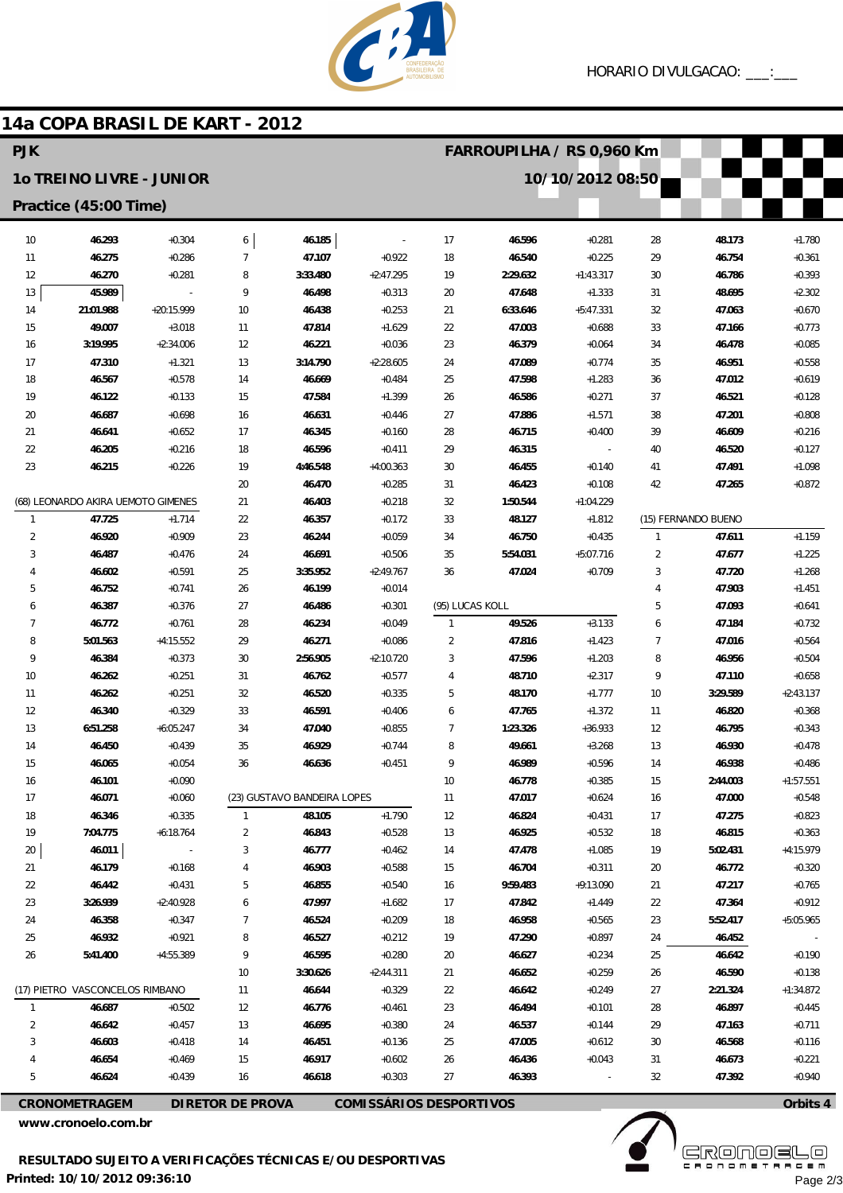

## 14a COPA BRASIL DE KART - 2012

| <b>PJK</b>            |                                    |                          |                             |                  |                                |                 | FARROUPILHA / RS 0,960 Km |             |                     |                     |                      |  |
|-----------------------|------------------------------------|--------------------------|-----------------------------|------------------|--------------------------------|-----------------|---------------------------|-------------|---------------------|---------------------|----------------------|--|
|                       | 10 TREINO LIVRE - JUNIOR           |                          |                             |                  | 10/10/2012 08:50               |                 |                           |             |                     |                     |                      |  |
| Practice (45:00 Time) |                                    |                          |                             |                  |                                |                 |                           |             |                     |                     |                      |  |
| 10 <sup>°</sup>       | 46.293                             | $+0.304$                 | 6                           | 46.185           |                                | 17              | 46.596                    | $+0.281$    | 28                  | 48.173              | $+1.780$             |  |
| 11                    | 46.275                             | $+0.286$                 | $\overline{7}$              | 47.107           | $+0.922$                       | 18              | 46.540                    | $+0.225$    | 29                  | 46.754              | $+0.361$             |  |
| 12                    | 46.270                             | $+0.281$                 | 8                           | 3:33.480         | $+2:47.295$                    | 19              | 2:29.632                  | $+1:43.317$ | 30                  | 46.786              | $+0.393$             |  |
| 13                    | 45.989                             | $\overline{\phantom{a}}$ | 9                           | 46.498           | $+0.313$                       | 20              | 47.648                    | $+1.333$    | 31                  | 48.695              | $+2.302$             |  |
| 14                    | 21:01.988                          | $+20:15.999$             | 10                          | 46.438           | $+0.253$                       | 21              | 6:33.646                  | $+5:47.331$ | 32                  | 47.063              | $+0.670$             |  |
| 15                    | 49.007                             | $+3.018$                 | 11                          | 47.814           | $+1.629$                       | 22              | 47.003                    | $+0.688$    | 33                  | 47.166              | $+0.773$             |  |
| 16                    | 3:19.995                           | $+2:34.006$              | 12                          | 46.221           | $+0.036$                       | 23              | 46.379                    | $+0.064$    | 34                  | 46.478              | $+0.085$             |  |
| 17                    | 47.310                             | $+1.321$                 | 13                          | 3:14.790         | $+2:28.605$                    | 24              | 47.089                    | $+0.774$    | 35                  | 46.951              | $+0.558$             |  |
| 18                    | 46.567                             | $+0.578$                 | 14                          | 46.669           | $+0.484$                       | 25              | 47.598                    | $+1.283$    | 36                  | 47.012              | $+0.619$             |  |
| 19                    | 46.122                             | $+0.133$                 | 15                          | 47.584           | $+1.399$                       | 26              | 46.586                    | $+0.271$    | 37                  | 46.521              | $+0.128$             |  |
| 20                    | 46.687                             | $+0.698$                 | 16                          | 46.631           | $+0.446$                       | 27              | 47.886                    | $+1.571$    | 38                  | 47.201              | $+0.808$             |  |
| 21                    | 46.641                             | $+0.652$                 | 17                          | 46.345           | $+0.160$                       | 28              | 46.715                    | $+0.400$    | 39                  | 46.609              | $+0.216$             |  |
| 22                    | 46.205                             | $+0.216$                 | 18                          | 46.596           | $+0.411$                       | 29              | 46.315                    |             | 40                  | 46.520              | $+0.127$             |  |
| 23                    | 46.215                             | $+0.226$                 | 19                          | 4:46.548         | $+4:00.363$                    | 30              | 46.455                    | $+0.140$    | 41                  | 47.491              | $+1.098$             |  |
|                       |                                    |                          | 20                          | 46.470           | $+0.285$                       | 31              | 46.423                    | $+0.108$    | 42                  | 47.265              | $+0.872$             |  |
|                       | (68) LEONARDO AKIRA UEMOTO GIMENES |                          | 21                          | 46.403           | $+0.218$                       | 32              | 1:50.544                  | $+1:04.229$ |                     |                     |                      |  |
| $\mathbf{1}$          | 47.725                             | $+1.714$                 | 22                          | 46.357           | $+0.172$                       | 33              | 48.127                    | $+1.812$    |                     | (15) FERNANDO BUENO |                      |  |
| $\overline{2}$        | 46.920                             | $+0.909$                 | 23                          | 46.244           | $+0.059$                       | 34              | 46.750                    | $+0.435$    | $\mathbf{1}$        | 47.611              | $+1.159$             |  |
| 3                     | 46.487                             | $+0.476$                 | 24                          | 46.691           | $+0.506$                       | 35              | 5:54.031                  | $+5:07.716$ | $\overline{2}$      | 47.677              | $+1.225$             |  |
| 4                     | 46.602                             | $+0.591$                 | 25                          | 3:35.952         | $+2:49.767$                    | 36              | 47.024                    | $+0.709$    | 3                   | 47.720              | $+1.268$             |  |
| 5<br>6                | 46.752<br>46.387                   | $+0.741$<br>$+0.376$     | 26<br>27                    | 46.199<br>46.486 | $+0.014$<br>$+0.301$           | (95) LUCAS KOLL |                           |             | $\overline{4}$<br>5 | 47.903<br>47.093    | $+1.451$<br>$+0.641$ |  |
| $\overline{7}$        | 46.772                             | $+0.761$                 | 28                          | 46.234           | $+0.049$                       | $\mathbf{1}$    | 49.526                    | $+3.133$    | 6                   | 47.184              | $+0.732$             |  |
| 8                     | 5:01.563                           | $+4:15.552$              | 29                          | 46.271           | $+0.086$                       | $\overline{2}$  | 47.816                    | $+1.423$    | $\overline{7}$      | 47.016              | $+0.564$             |  |
| 9                     | 46.384                             | $+0.373$                 | 30                          | 2:56.905         | $+2:10.720$                    | 3               | 47.596                    | $+1.203$    | 8                   | 46.956              | $+0.504$             |  |
| 10                    | 46.262                             | $+0.251$                 | 31                          | 46.762           | $+0.577$                       | 4               | 48.710                    | $+2.317$    | 9                   | 47.110              | $+0.658$             |  |
| 11                    | 46.262                             | $+0.251$                 | 32                          | 46.520           | $+0.335$                       | 5               | 48.170                    | $+1.777$    | 10                  | 3:29.589            | $+2:43.137$          |  |
| 12                    | 46.340                             | $+0.329$                 | 33                          | 46.591           | $+0.406$                       | 6               | 47.765                    | $+1.372$    | 11                  | 46.820              | $+0.368$             |  |
| 13                    | 6:51.258                           | $+6:05.247$              | 34                          | 47.040           | $+0.855$                       | 7               | 1:23.326                  | $+36.933$   | 12                  | 46.795              | $+0.343$             |  |
| 14                    | 46.450                             | $+0.439$                 | 35                          | 46.929           | $+0.744$                       | 8               | 49.661                    | $+3.268$    | 13                  | 46.930              | $+0.478$             |  |
| 15                    | 46.065                             | $+0.054$                 | 36                          | 46.636           | $+0.451$                       | 9               | 46.989                    | $+0.596$    | 14                  | 46.938              | $+0.486$             |  |
| 16                    | 46.101                             | $+0.090$                 |                             |                  |                                | 10              | 46.778                    | $+0.385$    | 15                  | 2:44.003            | $+1:57.551$          |  |
| 17                    | 46.071                             | $+0.060$                 | (23) GUSTAVO BANDEIRA LOPES |                  |                                | 11              | 47.017                    | $+0.624$    | 16                  | 47.000              | $+0.548$             |  |
| 18                    | 46.346                             | $+0.335$                 | $\mathbf{1}$                | 48.105           | $+1.790$                       | 12              | 46.824                    | $+0.431$    | 17                  | 47.275              | $+0.823$             |  |
| 19                    | 7:04.775                           | $+6:18.764$              | 2                           | 46.843           | $+0.528$                       | 13              | 46.925                    | $+0.532$    | 18                  | 46.815              | $+0.363$             |  |
| 20                    | 46.011                             |                          | 3                           | 46.777           | $+0.462$                       | 14              | 47.478                    | $+1.085$    | 19                  | 5:02.431            | $+4:15.979$          |  |
| 21                    | 46.179                             | $+0.168$                 | $\overline{4}$              | 46.903           | $+0.588$                       | 15              | 46.704                    | $+0.311$    | 20                  | 46.772              | $+0.320$             |  |
| 22                    | 46.442                             | $+0.431$                 | 5                           | 46.855           | $+0.540$                       | 16              | 9:59.483                  | $+9:13.090$ | 21                  | 47.217              | $+0.765$             |  |
| 23                    | 3:26.939                           | $+2:40.928$              | 6                           | 47.997           | $+1.682$                       | 17              | 47.842                    | $+1.449$    | 22                  | 47.364              | $+0.912$             |  |
| 24                    | 46.358                             | $+0.347$                 | $\overline{7}$              | 46.524           | $+0.209$                       | 18              | 46.958                    | $+0.565$    | 23                  | 5:52.417            | $+5:05.965$          |  |
| 25                    | 46.932                             | $+0.921$                 | 8                           | 46.527           | $+0.212$                       | 19              | 47.290                    | $+0.897$    | 24                  | 46.452              |                      |  |
| 26                    | 5:41.400                           | +4:55.389                | 9                           | 46.595           | $+0.280$                       | 20              | 46.627                    | $+0.234$    | 25                  | 46.642              | $+0.190$             |  |
| 10                    |                                    |                          |                             | 3:30.626         | $+2:44.311$                    | 21              | 46.652                    | $+0.259$    | 26                  | 46.590              | $+0.138$             |  |
|                       | (17) PIETRO VASCONCELOS RIMBANO    |                          | 11                          | 46.644           | $+0.329$                       | 22              | 46.642                    | $+0.249$    | 27                  | 2:21.324            | $+1:34.872$          |  |
| 1                     | 46.687                             | $+0.502$                 | 12                          | 46.776           | $+0.461$                       | 23              | 46.494                    | $+0.101$    | 28                  | 46.897              | $+0.445$             |  |
| $\overline{2}$        | 46.642                             | $+0.457$                 | 13                          | 46.695           | $+0.380$                       | 24              | 46.537                    | $+0.144$    | 29                  | 47.163              | $+0.711$             |  |
| 3                     | 46.603                             | $+0.418$                 | 14                          | 46.451           | $+0.136$                       | 25              | 47.005                    | $+0.612$    | 30                  | 46.568              | $+0.116$             |  |
|                       | 46.654                             | $+0.469$                 | 15                          | 46.917           | $+0.602$                       | 26              | 46.436                    | $+0.043$    | 31                  | 46.673              | $+0.221$             |  |
| 5                     | 46.624                             | $+0.439$                 | 16                          | 46.618           | $+0.303$                       | 27              | 46.393                    |             | 32                  | 47.392              | $+0.940$             |  |
|                       | <b>CRONOMETRAGEM</b>               |                          | <b>DIRETOR DE PROVA</b>     |                  | <b>COMISSÁRIOS DESPORTIVOS</b> |                 |                           |             |                     |                     | Orbits 4             |  |

www.cronoelo.com.br

**EROMOELO** Page 2/3